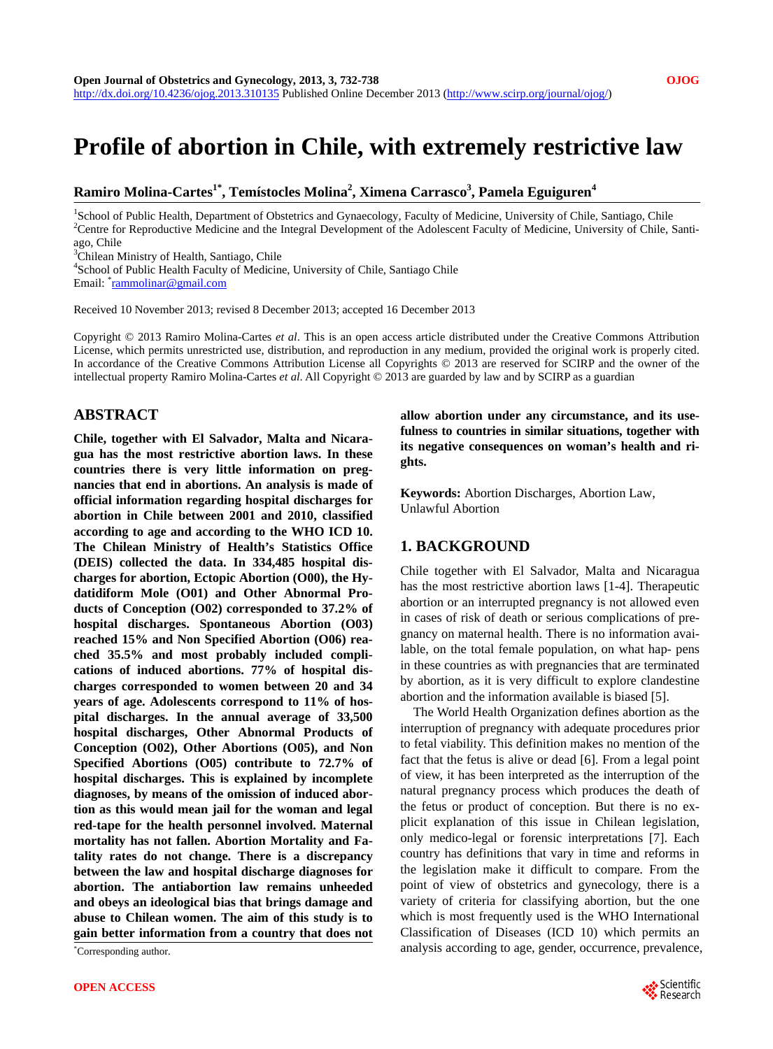# **Profile of abortion in Chile, with extremely restrictive law**

# $\mathbf{R}$ amiro Molina-Cartes $^{1^*}, \mathbf{T}$ emístocles Molina $^2, \mathbf{X}$ imena Carrasco $^3, \mathbf{P}$ amela Eguiguren $^4$

<sup>1</sup>School of Public Health, Department of Obstetrics and Gynaecology, Faculty of Medicine, University of Chile, Santiago, Chile 2<sup>2</sup>Contra for Bannoductive Medicine, and the Integral Development of the Adelescent Feaulty o <sup>2</sup>Centre for Reproductive Medicine and the Integral Development of the Adolescent Faculty of Medicine, University of Chile, Santiago, Chile

<sup>3</sup>Chilean Ministry of Health, Santiago, Chile

4 School of Public Health Faculty of Medicine, University of Chile, Santiago Chile

Email: <sup>\*</sup><u>[rammolinar@gmail.com](mailto:rammolinar@gmail.com)</u>

Received 10 November 2013; revised 8 December 2013; accepted 16 December 2013

Copyright © 2013 Ramiro Molina-Cartes *et al*. This is an open access article distributed under the Creative Commons Attribution License, which permits unrestricted use, distribution, and reproduction in any medium, provided the original work is properly cited. In accordance of the Creative Commons Attribution License all Copyrights © 2013 are reserved for SCIRP and the owner of the intellectual property Ramiro Molina-Cartes *et al*. All Copyright © 2013 are guarded by law and by SCIRP as a guardian

# **ABSTRACT**

**Chile, together with El Salvador, Malta and Nicaragua has the most restrictive abortion laws. In these countries there is very little information on pregnancies that end in abortions. An analysis is made of official information regarding hospital discharges for abortion in Chile between 2001 and 2010, classified according to age and according to the WHO ICD 10. The Chilean Ministry of Health's Statistics Office (DEIS) collected the data. In 334,485 hospital discharges for abortion, Ectopic Abortion (O00), the Hydatidiform Mole (O01) and Other Abnormal Products of Conception (O02) corresponded to 37.2% of hospital discharges. Spontaneous Abortion (O03) reached 15% and Non Specified Abortion (O06) reached 35.5% and most probably included complications of induced abortions. 77% of hospital discharges corresponded to women between 20 and 34 years of age. Adolescents correspond to 11% of hospital discharges. In the annual average of 33,500 hospital discharges, Other Abnormal Products of Conception (O02), Other Abortions (O05), and Non Specified Abortions (O05) contribute to 72.7% of hospital discharges. This is explained by incomplete diagnoses, by means of the omission of induced abortion as this would mean jail for the woman and legal red-tape for the health personnel involved. Maternal mortality has not fallen. Abortion Mortality and Fatality rates do not change. There is a discrepancy between the law and hospital discharge diagnoses for abortion. The antiabortion law remains unheeded and obeys an ideological bias that brings damage and abuse to Chilean women. The aim of this study is to gain better information from a country that does not** 

\*Corresponding author.

**allow abortion under any circumstance, and its usefulness to countries in similar situations, together with its negative consequences on woman's health and rights.** 

**Keywords:** Abortion Discharges, Abortion Law, Unlawful Abortion

#### **1. BACKGROUND**

Chile together with El Salvador, Malta and Nicaragua has the most restrictive abortion laws [1-4]. Therapeutic abortion or an interrupted pregnancy is not allowed even in cases of risk of death or serious complications of pregnancy on maternal health. There is no information available, on the total female population, on what hap- pens in these countries as with pregnancies that are terminated by abortion, as it is very difficult to explore clandestine abortion and the information available is biased [5].

The World Health Organization defines abortion as the interruption of pregnancy with adequate procedures prior to fetal viability. This definition makes no mention of the fact that the fetus is alive or dead [6]. From a legal point of view, it has been interpreted as the interruption of the natural pregnancy process which produces the death of the fetus or product of conception. But there is no explicit explanation of this issue in Chilean legislation, only medico-legal or forensic interpretations [7]. Each country has definitions that vary in time and reforms in the legislation make it difficult to compare. From the point of view of obstetrics and gynecology, there is a variety of criteria for classifying abortion, but the one which is most frequently used is the WHO International Classification of Diseases (ICD 10) which permits an analysis according to age, gender, occurrence, prevalence,

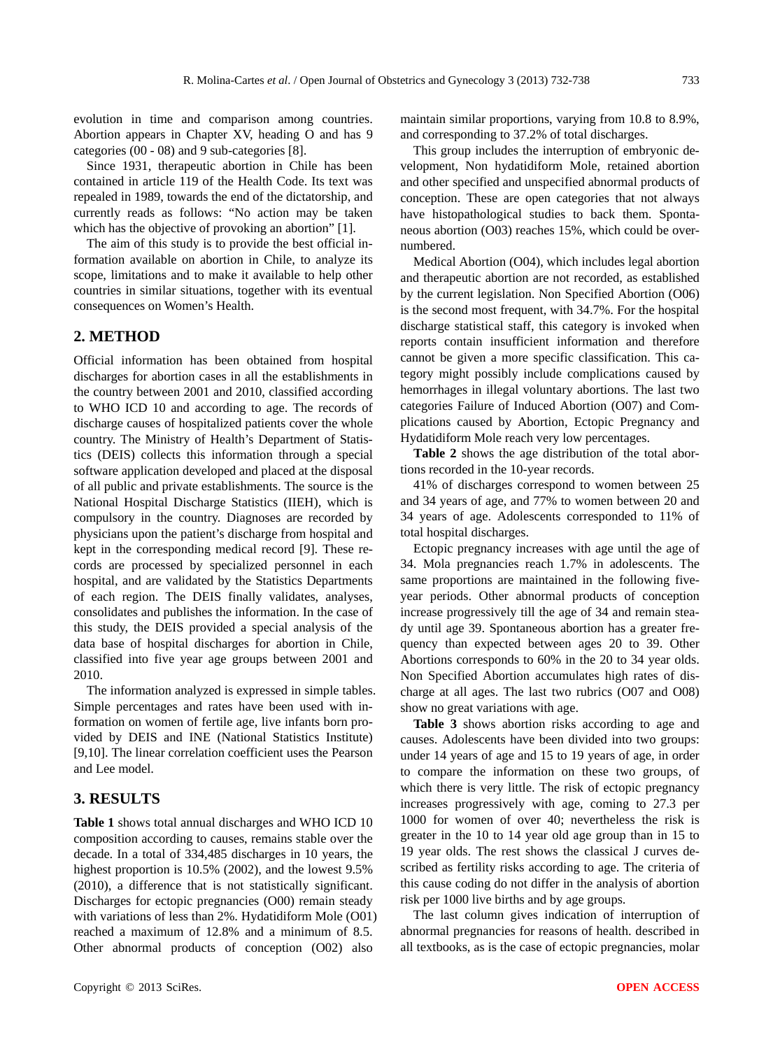evolution in time and comparison among countries. Abortion appears in Chapter XV, heading O and has 9 categories (00 - 08) and 9 sub-categories [8].

Since 1931, therapeutic abortion in Chile has been contained in article 119 of the Health Code. Its text was repealed in 1989, towards the end of the dictatorship, and currently reads as follows: "No action may be taken which has the objective of provoking an abortion" [1].

The aim of this study is to provide the best official information available on abortion in Chile, to analyze its scope, limitations and to make it available to help other countries in similar situations, together with its eventual consequences on Women's Health.

#### **2. METHOD**

Official information has been obtained from hospital discharges for abortion cases in all the establishments in the country between 2001 and 2010, classified according to WHO ICD 10 and according to age. The records of discharge causes of hospitalized patients cover the whole country. The Ministry of Health's Department of Statistics (DEIS) collects this information through a special software application developed and placed at the disposal of all public and private establishments. The source is the National Hospital Discharge Statistics (IIEH), which is compulsory in the country. Diagnoses are recorded by physicians upon the patient's discharge from hospital and kept in the corresponding medical record [9]. These records are processed by specialized personnel in each hospital, and are validated by the Statistics Departments of each region. The DEIS finally validates, analyses, consolidates and publishes the information. In the case of this study, the DEIS provided a special analysis of the data base of hospital discharges for abortion in Chile, classified into five year age groups between 2001 and 2010.

The information analyzed is expressed in simple tables. Simple percentages and rates have been used with information on women of fertile age, live infants born provided by DEIS and INE (National Statistics Institute) [9,10]. The linear correlation coefficient uses the Pearson and Lee model.

# **3. RESULTS**

**Table 1** shows total annual discharges and WHO ICD 10 composition according to causes, remains stable over the decade. In a total of 334,485 discharges in 10 years, the highest proportion is 10.5% (2002), and the lowest 9.5% (2010), a difference that is not statistically significant. Discharges for ectopic pregnancies (O00) remain steady with variations of less than 2%. Hydatidiform Mole (O01) reached a maximum of 12.8% and a minimum of 8.5. Other abnormal products of conception (O02) also

maintain similar proportions, varying from 10.8 to 8.9%, and corresponding to 37.2% of total discharges.

This group includes the interruption of embryonic development, Non hydatidiform Mole, retained abortion and other specified and unspecified abnormal products of conception. These are open categories that not always have histopathological studies to back them. Spontaneous abortion (O03) reaches 15%, which could be overnumbered.

Medical Abortion (O04), which includes legal abortion and therapeutic abortion are not recorded, as established by the current legislation. Non Specified Abortion (O06) is the second most frequent, with 34.7%. For the hospital discharge statistical staff, this category is invoked when reports contain insufficient information and therefore cannot be given a more specific classification. This category might possibly include complications caused by hemorrhages in illegal voluntary abortions. The last two categories Failure of Induced Abortion (O07) and Complications caused by Abortion, Ectopic Pregnancy and Hydatidiform Mole reach very low percentages.

**Table 2** shows the age distribution of the total abortions recorded in the 10-year records.

41% of discharges correspond to women between 25 and 34 years of age, and 77% to women between 20 and 34 years of age. Adolescents corresponded to 11% of total hospital discharges.

Ectopic pregnancy increases with age until the age of 34. Mola pregnancies reach 1.7% in adolescents. The same proportions are maintained in the following fiveyear periods. Other abnormal products of conception increase progressively till the age of 34 and remain steady until age 39. Spontaneous abortion has a greater frequency than expected between ages 20 to 39. Other Abortions corresponds to 60% in the 20 to 34 year olds. Non Specified Abortion accumulates high rates of discharge at all ages. The last two rubrics (O07 and O08) show no great variations with age.

**Table 3** shows abortion risks according to age and causes. Adolescents have been divided into two groups: under 14 years of age and 15 to 19 years of age, in order to compare the information on these two groups, of which there is very little. The risk of ectopic pregnancy increases progressively with age, coming to 27.3 per 1000 for women of over 40; nevertheless the risk is greater in the 10 to 14 year old age group than in 15 to 19 year olds. The rest shows the classical J curves described as fertility risks according to age. The criteria of this cause coding do not differ in the analysis of abortion risk per 1000 live births and by age groups.

The last column gives indication of interruption of abnormal pregnancies for reasons of health. described in all textbooks, as is the case of ectopic pregnancies, molar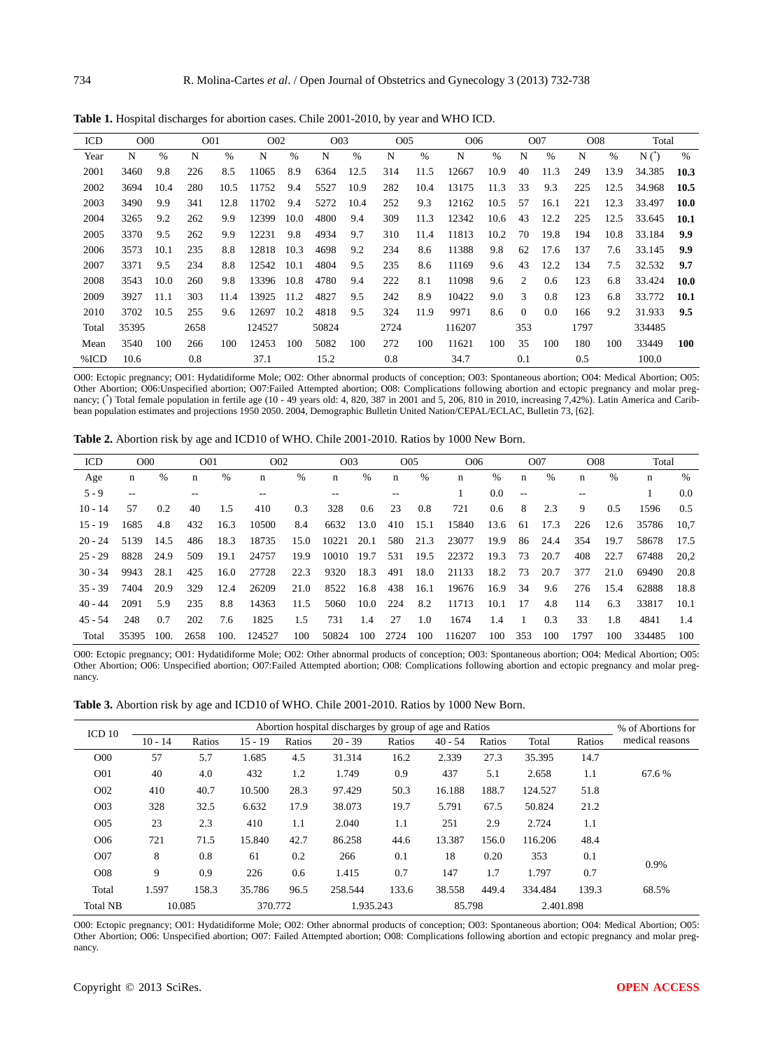| ICD   | O <sub>0</sub> |      | O <sub>01</sub> |      | O <sub>0</sub> 2 |      | O <sub>0</sub> 3 |      | O05  |      | O <sub>06</sub> |      |          | O07  | O <sub>08</sub> |      | Total           |      |
|-------|----------------|------|-----------------|------|------------------|------|------------------|------|------|------|-----------------|------|----------|------|-----------------|------|-----------------|------|
| Year  | N              | $\%$ | N               | $\%$ | N                | $\%$ | N                | $\%$ | N    | $\%$ | N               | %    | N        | $\%$ | N               | $\%$ | $N(\tilde{ } )$ | $\%$ |
| 2001  | 3460           | 9.8  | 226             | 8.5  | 11065            | 8.9  | 6364             | 12.5 | 314  | 11.5 | 12667           | 10.9 | 40       | 11.3 | 249             | 13.9 | 34.385          | 10.3 |
| 2002  | 3694           | 10.4 | 280             | 10.5 | 11752            | 9.4  | 5527             | 10.9 | 282  | 10.4 | 13175           | 11.3 | 33       | 9.3  | 225             | 12.5 | 34.968          | 10.5 |
| 2003  | 3490           | 9.9  | 341             | 12.8 | 11702            | 9.4  | 5272             | 10.4 | 252  | 9.3  | 12162           | 10.5 | 57       | 16.1 | 221             | 12.3 | 33.497          | 10.0 |
| 2004  | 3265           | 9.2  | 262             | 9.9  | 12399            | 10.0 | 4800             | 9.4  | 309  | 11.3 | 12342           | 10.6 | 43       | 12.2 | 225             | 12.5 | 33.645          | 10.1 |
| 2005  | 3370           | 9.5  | 262             | 9.9  | 12231            | 9.8  | 4934             | 9.7  | 310  | 11.4 | 11813           | 10.2 | 70       | 19.8 | 194             | 10.8 | 33.184          | 9.9  |
| 2006  | 3573           | 10.1 | 235             | 8.8  | 12818            | 10.3 | 4698             | 9.2  | 234  | 8.6  | 11388           | 9.8  | 62       | 17.6 | 137             | 7.6  | 33.145          | 9.9  |
| 2007  | 3371           | 9.5  | 234             | 8.8  | 12542            | 10.1 | 4804             | 9.5  | 235  | 8.6  | 11169           | 9.6  | 43       | 12.2 | 134             | 7.5  | 32.532          | 9.7  |
| 2008  | 3543           | 10.0 | 260             | 9.8  | 13396            | 10.8 | 4780             | 9.4  | 222  | 8.1  | 11098           | 9.6  | 2        | 0.6  | 123             | 6.8  | 33.424          | 10.0 |
| 2009  | 3927           | 11.1 | 303             | 11.4 | 13925            | 11.2 | 4827             | 9.5  | 242  | 8.9  | 10422           | 9.0  | 3        | 0.8  | 123             | 6.8  | 33.772          | 10.1 |
| 2010  | 3702           | 10.5 | 255             | 9.6  | 12697            | 10.2 | 4818             | 9.5  | 324  | 11.9 | 9971            | 8.6  | $\Omega$ | 0.0  | 166             | 9.2  | 31.933          | 9.5  |
| Total | 35395          |      | 2658            |      | 124527           |      | 50824            |      | 2724 |      | 116207          |      | 353      |      | 1797            |      | 334485          |      |
| Mean  | 3540           | 100  | 266             | 100  | 12453            | 100  | 5082             | 100  | 272  | 100  | 11621           | 100  | 35       | 100  | 180             | 100  | 33449           | 100  |
| %ICD  | 10.6           |      | 0.8             |      | 37.1             |      | 15.2             |      | 0.8  |      | 34.7            |      | 0.1      |      | 0.5             |      | 100.0           |      |

**Table 1.** Hospital discharges for abortion cases. Chile 2001-2010, by year and WHO ICD.

O00: Ectopic pregnancy; O01: Hydatidiforme Mole; O02: Other abnormal products of conception; O03: Spontaneous abortion; O04: Medical Abortion; O05: Other Abortion; O06:Unspecified abortion; O07:Failed Attempted abortion; O08: Complications following abortion and ectopic pregnancy and molar preg-<br>nancy; (\*) Total female population in fertile age (10 - 49 years old: 4, bean population estimates and projections 1950 2050. 2004, Demographic Bulletin United Nation/CEPAL/ECLAC, Bulletin 73, [62].

**Table 2.** Abortion risk by age and ICD10 of WHO. Chile 2001-2010. Ratios by 1000 New Born.

| ICD       | O <sub>00</sub> |      | O <sub>01</sub> |      | O <sub>0</sub> 2 |      | O <sub>0</sub> 3 |      | O <sub>05</sub> |      | O <sub>06</sub> |      |      | O07  | O <sub>08</sub> |      | Total  |         |
|-----------|-----------------|------|-----------------|------|------------------|------|------------------|------|-----------------|------|-----------------|------|------|------|-----------------|------|--------|---------|
| Age       | n               | $\%$ | $\mathbf n$     | %    | n                | $\%$ | $\mathbf n$      | %    | $\mathbf n$     | $\%$ | n               | %    | n    | %    | n               | $\%$ | n      | $\%$    |
| $5 - 9$   | $- -$           |      | $-$             |      | $- -$            |      | $- -$            |      | $-$             |      |                 | 0.0  | $ -$ |      |                 |      |        | $0.0\,$ |
| $10 - 14$ | 57              | 0.2  | 40              | 1.5  | 410              | 0.3  | 328              | 0.6  | 23              | 0.8  | 721             | 0.6  | 8    | 2.3  | 9               | 0.5  | 1596   | 0.5     |
| $15 - 19$ | 1685            | 4.8  | 432             | 16.3 | 10500            | 8.4  | 6632             | 13.0 | 410             | 15.1 | 15840           | 13.6 | 61   | 17.3 | 226             | 12.6 | 35786  | 10.7    |
| $20 - 24$ | 5139            | 14.5 | 486             | 18.3 | 18735            | 15.0 | 10221            | 20.1 | 580             | 21.3 | 23077           | 19.9 | 86   | 24.4 | 354             | 19.7 | 58678  | 17.5    |
| $25 - 29$ | 8828            | 24.9 | 509             | 19.1 | 24757            | 19.9 | 10010            | 19.7 | 531             | 19.5 | 22372           | 19.3 | 73   | 20.7 | 408             | 22.7 | 67488  | 20,2    |
| $30 - 34$ | 9943            | 28.1 | 425             | 16.0 | 27728            | 22.3 | 9320             | 18.3 | 491             | 18.0 | 21133           | 18.2 | 73   | 20.7 | 377             | 21.0 | 69490  | 20.8    |
| $35 - 39$ | 7404            | 20.9 | 329             | 12.4 | 26209            | 21.0 | 8522             | 16.8 | 438             | 16.1 | 19676           | 16.9 | 34   | 9.6  | 276             | 15.4 | 62888  | 18.8    |
| $40 - 44$ | 2091            | 5.9  | 235             | 8.8  | 14363            | 11.5 | 5060             | 10.0 | 224             | 8.2  | 11713           | 10.1 | 17   | 4.8  | 114             | 6.3  | 33817  | 10.1    |
| $45 - 54$ | 248             | 0.7  | 202             | 7.6  | 1825             | 1.5  | 731              | 1.4  | 27              | 1.0  | 1674            | 1.4  |      | 0.3  | 33              | 1.8  | 4841   | 1.4     |
| Total     | 35395           | 100. | 2658            | 100. | 124527           | 100  | 50824            | 100  | 2724            | 100  | 116207          | 100  | 353  | 100  | 1797            | 100  | 334485 | 100     |

O00: Ectopic pregnancy; O01: Hydatidiforme Mole; O02: Other abnormal products of conception; O03: Spontaneous abortion; O04: Medical Abortion; O05: Other Abortion; O06: Unspecified abortion; O07:Failed Attempted abortion; O08: Complications following abortion and ectopic pregnancy and molar pregnancy.

**Table 3.** Abortion risk by age and ICD10 of WHO. Chile 2001-2010. Ratios by 1000 New Born.

| ICD <sub>10</sub> |           | % of Abortions for |           |        |           |        |           |        |           |        |                 |
|-------------------|-----------|--------------------|-----------|--------|-----------|--------|-----------|--------|-----------|--------|-----------------|
|                   | $10 - 14$ | Ratios             | $15 - 19$ | Ratios | $20 - 39$ | Ratios | $40 - 54$ | Ratios | Total     | Ratios | medical reasons |
| O <sub>0</sub>    | 57        | 5.7                | 1.685     | 4.5    | 31.314    | 16.2   | 2.339     | 27.3   | 35.395    | 14.7   |                 |
| O <sub>01</sub>   | 40        | 4.0                | 432       | 1.2    | 1.749     | 0.9    | 437       | 5.1    | 2.658     | 1.1    | 67.6 %          |
| O <sub>0</sub> 2  | 410       | 40.7               | 10.500    | 28.3   | 97.429    | 50.3   | 16.188    | 188.7  | 124.527   | 51.8   |                 |
| O <sub>0</sub> 3  | 328       | 32.5               | 6.632     | 17.9   | 38.073    | 19.7   | 5.791     | 67.5   | 50.824    | 21.2   |                 |
| O05               | 23        | 2.3                | 410       | 1.1    | 2.040     | 1.1    | 251       | 2.9    | 2.724     | 1.1    |                 |
| O <sub>06</sub>   | 721       | 71.5               | 15.840    | 42.7   | 86.258    | 44.6   | 13.387    | 156.0  | 116.206   | 48.4   |                 |
| O07               | 8         | 0.8                | 61        | 0.2    | 266       | 0.1    | 18        | 0.20   | 353       | 0.1    | 0.9%            |
| O <sub>0</sub> 8  | 9         | 0.9                | 226       | 0.6    | 1.415     | 0.7    | 147       | 1.7    | 1.797     | 0.7    |                 |
| Total             | 1.597     | 158.3              | 35.786    | 96.5   | 258.544   | 133.6  | 38.558    | 449.4  | 334.484   | 139.3  | 68.5%           |
| <b>Total NB</b>   | 10.085    |                    | 370.772   |        | 1.935.243 |        | 85.798    |        | 2.401.898 |        |                 |

O00: Ectopic pregnancy; O01: Hydatidiforme Mole; O02: Other abnormal products of conception; O03: Spontaneous abortion; O04: Medical Abortion; O05: Other Abortion; O06: Unspecified abortion; O07: Failed Attempted abortion; O08: Complications following abortion and ectopic pregnancy and molar pregnancy.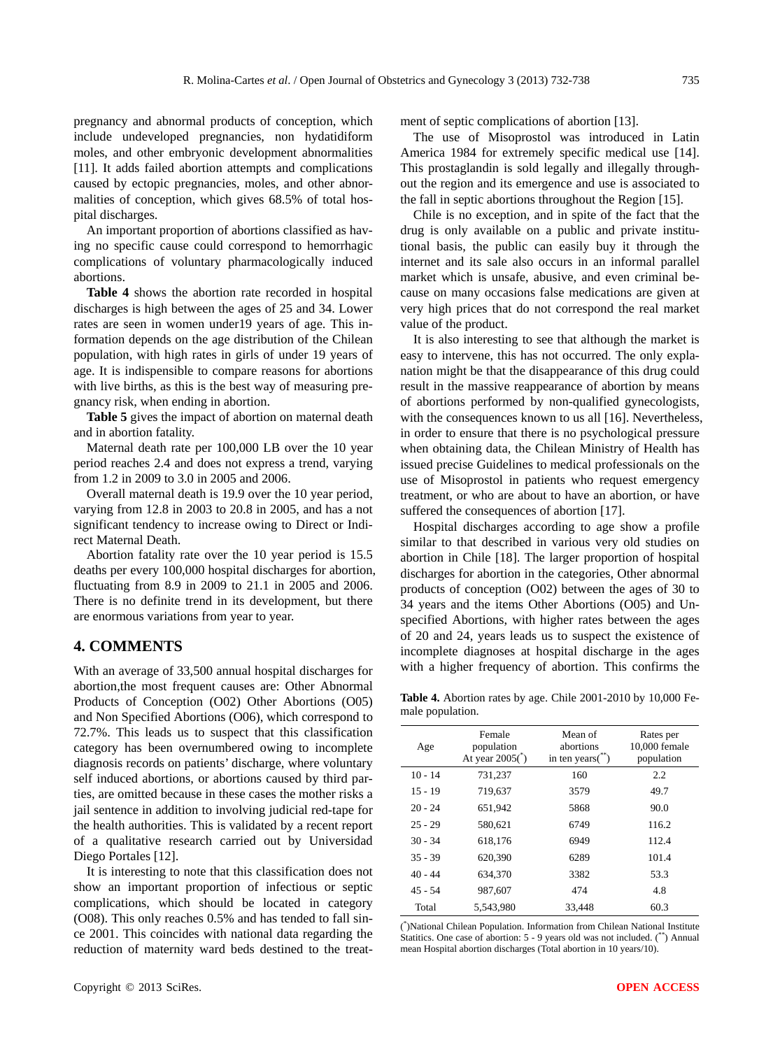pregnancy and abnormal products of conception, which include undeveloped pregnancies, non hydatidiform moles, and other embryonic development abnormalities [11]. It adds failed abortion attempts and complications caused by ectopic pregnancies, moles, and other abnormalities of conception, which gives 68.5% of total hospital discharges.

An important proportion of abortions classified as having no specific cause could correspond to hemorrhagic complications of voluntary pharmacologically induced abortions.

**Table 4** shows the abortion rate recorded in hospital discharges is high between the ages of 25 and 34. Lower rates are seen in women under19 years of age. This information depends on the age distribution of the Chilean population, with high rates in girls of under 19 years of age. It is indispensible to compare reasons for abortions with live births, as this is the best way of measuring pregnancy risk, when ending in abortion.

**Table 5** gives the impact of abortion on maternal death and in abortion fatality.

Maternal death rate per 100,000 LB over the 10 year period reaches 2.4 and does not express a trend, varying from 1.2 in 2009 to 3.0 in 2005 and 2006.

Overall maternal death is 19.9 over the 10 year period, varying from 12.8 in 2003 to 20.8 in 2005, and has a not significant tendency to increase owing to Direct or Indirect Maternal Death.

Abortion fatality rate over the 10 year period is 15.5 deaths per every 100,000 hospital discharges for abortion, fluctuating from 8.9 in 2009 to 21.1 in 2005 and 2006. There is no definite trend in its development, but there are enormous variations from year to year.

#### **4. COMMENTS**

With an average of 33,500 annual hospital discharges for abortion,the most frequent causes are: Other Abnormal Products of Conception (O02) Other Abortions (O05) and Non Specified Abortions (O06), which correspond to 72.7%. This leads us to suspect that this classification category has been overnumbered owing to incomplete diagnosis records on patients' discharge, where voluntary self induced abortions, or abortions caused by third parties, are omitted because in these cases the mother risks a jail sentence in addition to involving judicial red-tape for the health authorities. This is validated by a recent report of a qualitative research carried out by Universidad Diego Portales [12].

It is interesting to note that this classification does not show an important proportion of infectious or septic complications, which should be located in category (O08). This only reaches 0.5% and has tended to fall since 2001. This coincides with national data regarding the reduction of maternity ward beds destined to the treatment of septic complications of abortion [13].

The use of Misoprostol was introduced in Latin America 1984 for extremely specific medical use [14]. This prostaglandin is sold legally and illegally throughout the region and its emergence and use is associated to the fall in septic abortions throughout the Region [15].

Chile is no exception, and in spite of the fact that the drug is only available on a public and private institutional basis, the public can easily buy it through the internet and its sale also occurs in an informal parallel market which is unsafe, abusive, and even criminal because on many occasions false medications are given at very high prices that do not correspond the real market value of the product.

It is also interesting to see that although the market is easy to intervene, this has not occurred. The only explanation might be that the disappearance of this drug could result in the massive reappearance of abortion by means of abortions performed by non-qualified gynecologists, with the consequences known to us all [16]. Nevertheless, in order to ensure that there is no psychological pressure when obtaining data, the Chilean Ministry of Health has issued precise Guidelines to medical professionals on the use of Misoprostol in patients who request emergency treatment, or who are about to have an abortion, or have suffered the consequences of abortion [17].

Hospital discharges according to age show a profile similar to that described in various very old studies on abortion in Chile [18]. The larger proportion of hospital discharges for abortion in the categories, Other abnormal products of conception (O02) between the ages of 30 to 34 years and the items Other Abortions (O05) and Unspecified Abortions, with higher rates between the ages of 20 and 24, years leads us to suspect the existence of incomplete diagnoses at hospital discharge in the ages with a higher frequency of abortion. This confirms the

**Table 4.** Abortion rates by age. Chile 2001-2010 by 10,000 Female population.

| Age       | Female<br>population<br>At year $2005($ <sup>*</sup> ) | Mean of<br>abortions<br>in ten years $(\tilde{\ }')$ | Rates per<br>10,000 female<br>population |
|-----------|--------------------------------------------------------|------------------------------------------------------|------------------------------------------|
| $10 - 14$ | 731,237                                                | 160                                                  | 2.2                                      |
| $15 - 19$ | 719,637                                                | 3579                                                 | 49.7                                     |
| $20 - 24$ | 651,942                                                | 5868                                                 | 90.0                                     |
| $25 - 29$ | 580,621                                                | 6749                                                 | 116.2                                    |
| $30 - 34$ | 618,176                                                | 6949                                                 | 112.4                                    |
| $35 - 39$ | 620,390                                                | 6289                                                 | 101.4                                    |
| $40 - 44$ | 634.370                                                | 3382                                                 | 53.3                                     |
| $45 - 54$ | 987.607                                                | 474                                                  | 4.8                                      |
| Total     | 5.543.980                                              | 33.448                                               | 60.3                                     |

( \* )National Chilean Population. Information from Chilean National Institute Statitics. One case of abortion: 5 - 9 years old was not included. (\*\*) Annual mean Hospital abortion discharges (Total abortion in 10 years/10).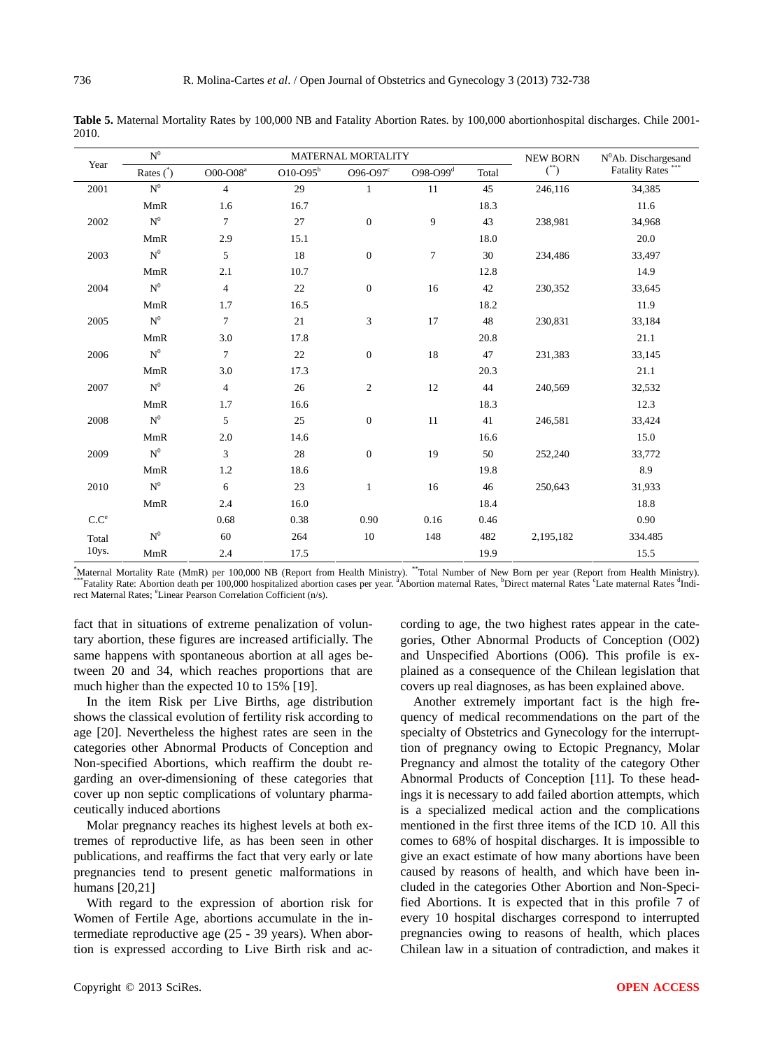**Table 5.** Maternal Mortality Rates by 100,000 NB and Fatality Abortion Rates. by 100,000 abortionhospital discharges. Chile 2001- 2010.

|                   | $\mbox{N}^0$     |                | MATERNAL MORTALITY | <b>NEW BORN</b>  | NºAb. Dischargesand |       |               |                       |  |
|-------------------|------------------|----------------|--------------------|------------------|---------------------|-------|---------------|-----------------------|--|
| Year              | Rates $^{\circ}$ | $O00$ - $O08a$ | $O10$ - $O95b$     | O96-O97c         | $O98-O99d$          | Total | $^{\ast\ast}$ | <b>Fatality Rates</b> |  |
| 2001              | $\mathbf{N}^0$   | $\overline{4}$ | 29                 | 1                | 11                  | 45    | 246,116       | 34,385                |  |
|                   | $\mbox{MmR}$     | 1.6            | 16.7               |                  |                     | 18.3  |               | 11.6                  |  |
| 2002              | $\mathbf{N}^0$   | $\overline{7}$ | 27                 | $\boldsymbol{0}$ | 9                   | 43    | 238,981       | 34,968                |  |
|                   | <b>MmR</b>       | 2.9            | 15.1               |                  |                     | 18.0  |               | 20.0                  |  |
| 2003              | $\mathbf{N}^0$   | 5              | 18                 | $\boldsymbol{0}$ | $\overline{7}$      | 30    | 234,486       | 33,497                |  |
|                   | MmR              | 2.1            | 10.7               |                  |                     | 12.8  |               | 14.9                  |  |
| 2004              | $\mathbf{N}^0$   | $\overline{4}$ | $22\,$             | $\boldsymbol{0}$ | 16                  | 42    | 230,352       | 33,645                |  |
|                   | <b>MmR</b>       | 1.7            | 16.5               |                  |                     | 18.2  |               | 11.9                  |  |
| 2005              | $\mathbf{N}^0$   | $\overline{7}$ | $21\,$             | 3                | 17                  | 48    | 230,831       | 33,184                |  |
|                   | MmR              | 3.0            | 17.8               |                  |                     | 20.8  |               | 21.1                  |  |
| 2006              | $\mathbf{N}^0$   | $\overline{7}$ | $22\,$             | $\boldsymbol{0}$ | 18                  | 47    | 231,383       | 33,145                |  |
|                   | <b>MmR</b>       | 3.0            | 17.3               |                  |                     | 20.3  |               | 21.1                  |  |
| 2007              | $\mathbf{N}^0$   | $\overline{4}$ | $26\,$             | $\boldsymbol{2}$ | 12                  | 44    | 240,569       | 32,532                |  |
|                   | <b>MmR</b>       | 1.7            | 16.6               |                  |                     | 18.3  |               | 12.3                  |  |
| 2008              | $\mathbf{N}^0$   | 5              | 25                 | $\boldsymbol{0}$ | 11                  | 41    | 246,581       | 33,424                |  |
|                   | <b>MmR</b>       | 2.0            | 14.6               |                  |                     | 16.6  |               | 15.0                  |  |
| 2009              | $\mathbf{N}^0$   | 3              | 28                 | $\boldsymbol{0}$ | 19                  | 50    | 252,240       | 33,772                |  |
|                   | <b>MmR</b>       | 1.2            | 18.6               |                  |                     | 19.8  |               | 8.9                   |  |
| 2010              | $\mathbf{N}^0$   | 6              | $23\,$             | $\mathbf{1}$     | 16                  | 46    | 250,643       | 31,933                |  |
|                   | MmR              | 2.4            | 16.0               |                  |                     | 18.4  |               | 18.8                  |  |
| $C.C^e$           |                  | 0.68           | 0.38               | 0.90             | 0.16                | 0.46  |               | 0.90                  |  |
| Total             | $\mathbf{N}^0$   | 60             | 264                | 10               | 148                 | 482   | 2,195,182     | 334.485               |  |
| 10 <sub>ys.</sub> | MmR              | 2.4            | 17.5               |                  |                     | 19.9  |               | 15.5                  |  |

\*Maternal Mortality Rate (MmR) per 100,000 NB (Report from Health Ministry). \*\*Total Number of New Born per year (Report from Health Ministry).<br>\*\*\*Fatality Rate: Abortion death per 100,000 hospitalized abortion cases per y Abortion maternal Rates, <sup>b</sup>Direct maternal Rates <sup>c</sup>Late maternal Rates <sup>d</sup>Indirect Maternal Rates; <sup>e</sup>Linear Pearson Correlation Cofficient (n/s).

fact that in situations of extreme penalization of voluntary abortion, these figures are increased artificially. The same happens with spontaneous abortion at all ages between 20 and 34, which reaches proportions that are much higher than the expected 10 to 15% [19].

In the item Risk per Live Births, age distribution shows the classical evolution of fertility risk according to age [20]. Nevertheless the highest rates are seen in the categories other Abnormal Products of Conception and Non-specified Abortions, which reaffirm the doubt regarding an over-dimensioning of these categories that cover up non septic complications of voluntary pharmaceutically induced abortions

Molar pregnancy reaches its highest levels at both extremes of reproductive life, as has been seen in other publications, and reaffirms the fact that very early or late pregnancies tend to present genetic malformations in humans [20,21]

With regard to the expression of abortion risk for Women of Fertile Age, abortions accumulate in the intermediate reproductive age (25 - 39 years). When abortion is expressed according to Live Birth risk and according to age, the two highest rates appear in the categories, Other Abnormal Products of Conception (O02) and Unspecified Abortions (O06). This profile is explained as a consequence of the Chilean legislation that covers up real diagnoses, as has been explained above.

Another extremely important fact is the high frequency of medical recommendations on the part of the specialty of Obstetrics and Gynecology for the interrupttion of pregnancy owing to Ectopic Pregnancy, Molar Pregnancy and almost the totality of the category Other Abnormal Products of Conception [11]. To these headings it is necessary to add failed abortion attempts, which is a specialized medical action and the complications mentioned in the first three items of the ICD 10. All this comes to 68% of hospital discharges. It is impossible to give an exact estimate of how many abortions have been caused by reasons of health, and which have been included in the categories Other Abortion and Non-Specified Abortions. It is expected that in this profile 7 of every 10 hospital discharges correspond to interrupted pregnancies owing to reasons of health, which places Chilean law in a situation of contradiction, and makes it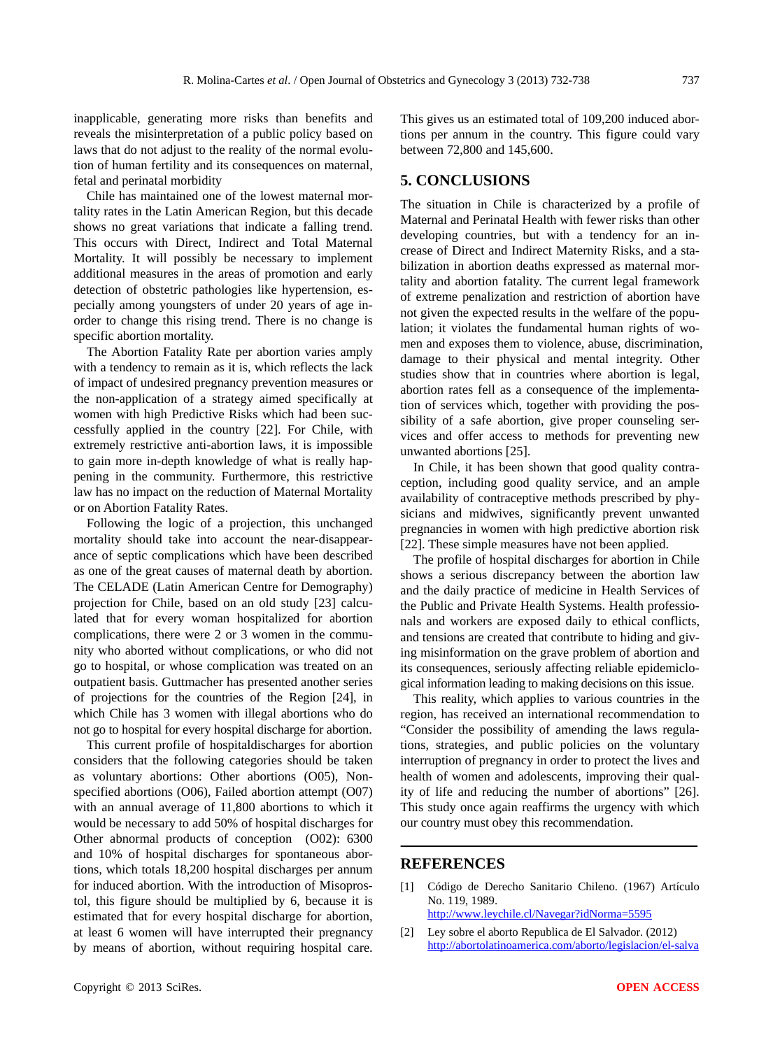inapplicable, generating more risks than benefits and reveals the misinterpretation of a public policy based on laws that do not adjust to the reality of the normal evolution of human fertility and its consequences on maternal, fetal and perinatal morbidity

Chile has maintained one of the lowest maternal mortality rates in the Latin American Region, but this decade shows no great variations that indicate a falling trend. This occurs with Direct, Indirect and Total Maternal Mortality. It will possibly be necessary to implement additional measures in the areas of promotion and early detection of obstetric pathologies like hypertension, especially among youngsters of under 20 years of age inorder to change this rising trend. There is no change is specific abortion mortality.

The Abortion Fatality Rate per abortion varies amply with a tendency to remain as it is, which reflects the lack of impact of undesired pregnancy prevention measures or the non-application of a strategy aimed specifically at women with high Predictive Risks which had been successfully applied in the country [22]. For Chile, with extremely restrictive anti-abortion laws, it is impossible to gain more in-depth knowledge of what is really happening in the community. Furthermore, this restrictive law has no impact on the reduction of Maternal Mortality or on Abortion Fatality Rates.

Following the logic of a projection, this unchanged mortality should take into account the near-disappearance of septic complications which have been described as one of the great causes of maternal death by abortion. The CELADE (Latin American Centre for Demography) projection for Chile, based on an old study [23] calculated that for every woman hospitalized for abortion complications, there were 2 or 3 women in the community who aborted without complications, or who did not go to hospital, or whose complication was treated on an outpatient basis. Guttmacher has presented another series of projections for the countries of the Region [24], in which Chile has 3 women with illegal abortions who do not go to hospital for every hospital discharge for abortion.

This current profile of hospitaldischarges for abortion considers that the following categories should be taken as voluntary abortions: Other abortions (O05), Nonspecified abortions (O06), Failed abortion attempt (O07) with an annual average of 11,800 abortions to which it would be necessary to add 50% of hospital discharges for Other abnormal products of conception (O02): 6300 and 10% of hospital discharges for spontaneous abortions, which totals 18,200 hospital discharges per annum for induced abortion. With the introduction of Misoprostol, this figure should be multiplied by 6, because it is estimated that for every hospital discharge for abortion, at least 6 women will have interrupted their pregnancy by means of abortion, without requiring hospital care.

This gives us an estimated total of 109,200 induced abortions per annum in the country. This figure could vary between 72,800 and 145,600.

### **5. CONCLUSIONS**

The situation in Chile is characterized by a profile of Maternal and Perinatal Health with fewer risks than other developing countries, but with a tendency for an increase of Direct and Indirect Maternity Risks, and a stabilization in abortion deaths expressed as maternal mortality and abortion fatality. The current legal framework of extreme penalization and restriction of abortion have not given the expected results in the welfare of the population; it violates the fundamental human rights of women and exposes them to violence, abuse, discrimination, damage to their physical and mental integrity. Other studies show that in countries where abortion is legal, abortion rates fell as a consequence of the implementation of services which, together with providing the possibility of a safe abortion, give proper counseling services and offer access to methods for preventing new unwanted abortions [25].

In Chile, it has been shown that good quality contraception, including good quality service, and an ample availability of contraceptive methods prescribed by physicians and midwives, significantly prevent unwanted pregnancies in women with high predictive abortion risk [22]. These simple measures have not been applied.

The profile of hospital discharges for abortion in Chile shows a serious discrepancy between the abortion law and the daily practice of medicine in Health Services of the Public and Private Health Systems. Health professionals and workers are exposed daily to ethical conflicts, and tensions are created that contribute to hiding and giving misinformation on the grave problem of abortion and its consequences, seriously affecting reliable epidemiclogical information leading to making decisions on this issue.

This reality, which applies to various countries in the region, has received an international recommendation to "Consider the possibility of amending the laws regulations, strategies, and public policies on the voluntary interruption of pregnancy in order to protect the lives and health of women and adolescents, improving their quality of life and reducing the number of abortions" [26]. This study once again reaffirms the urgency with which our country must obey this recommendation.

#### **REFERENCES**

[1] Código de Derecho Sanitario Chileno. (1967) Artículo No. 119, 1989.

<http://www.leychile.cl/Navegar?idNorma=5595>

[2] Ley sobre el aborto Republica de El Salvador. (2012) [http://abortolatinoamerica.com/aborto/legislacion/el-salva](http://abortolatinoamerica.com/aborto/legislacion/el-salvador/)